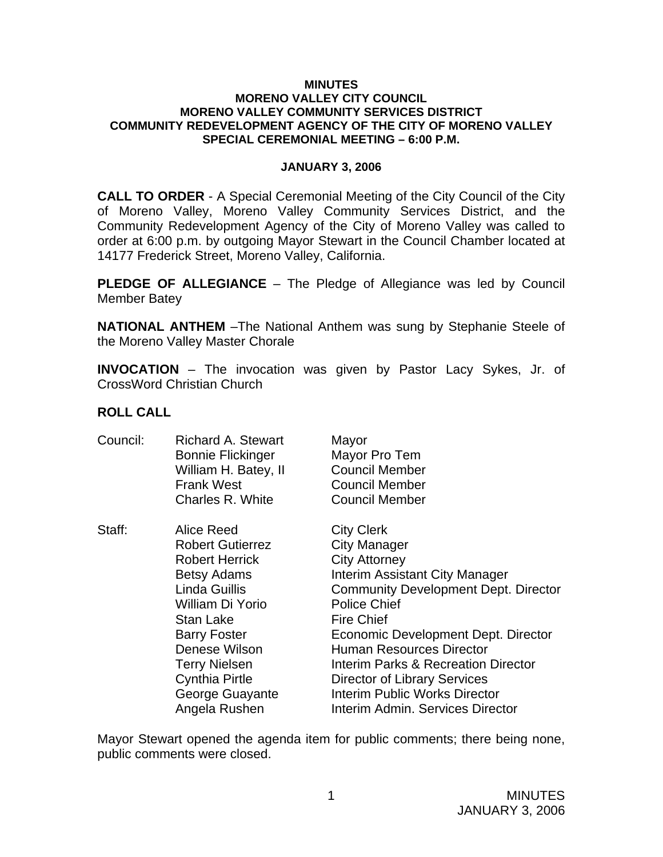#### **MINUTES MORENO VALLEY CITY COUNCIL MORENO VALLEY COMMUNITY SERVICES DISTRICT COMMUNITY REDEVELOPMENT AGENCY OF THE CITY OF MORENO VALLEY SPECIAL CEREMONIAL MEETING – 6:00 P.M.**

### **JANUARY 3, 2006**

**CALL TO ORDER** - A Special Ceremonial Meeting of the City Council of the City of Moreno Valley, Moreno Valley Community Services District, and the Community Redevelopment Agency of the City of Moreno Valley was called to order at 6:00 p.m. by outgoing Mayor Stewart in the Council Chamber located at 14177 Frederick Street, Moreno Valley, California.

**PLEDGE OF ALLEGIANCE** – The Pledge of Allegiance was led by Council Member Batey

**NATIONAL ANTHEM** –The National Anthem was sung by Stephanie Steele of the Moreno Valley Master Chorale

**INVOCATION** – The invocation was given by Pastor Lacy Sykes, Jr. of CrossWord Christian Church

## **ROLL CALL**

| Council: | Richard A. Stewart       | Mayor                                       |
|----------|--------------------------|---------------------------------------------|
|          | <b>Bonnie Flickinger</b> | Mayor Pro Tem                               |
|          | William H. Batey, II     | <b>Council Member</b>                       |
|          | <b>Frank West</b>        | <b>Council Member</b>                       |
|          | Charles R. White         | <b>Council Member</b>                       |
| Staff:   | Alice Reed               | <b>City Clerk</b>                           |
|          | <b>Robert Gutierrez</b>  | City Manager                                |
|          | <b>Robert Herrick</b>    | <b>City Attorney</b>                        |
|          | <b>Betsy Adams</b>       | Interim Assistant City Manager              |
|          | Linda Guillis            | <b>Community Development Dept. Director</b> |
|          | William Di Yorio         | <b>Police Chief</b>                         |
|          | <b>Stan Lake</b>         | <b>Fire Chief</b>                           |
|          | <b>Barry Foster</b>      | Economic Development Dept. Director         |
|          | Denese Wilson            | <b>Human Resources Director</b>             |
|          | <b>Terry Nielsen</b>     | Interim Parks & Recreation Director         |
|          | <b>Cynthia Pirtle</b>    | Director of Library Services                |
|          | George Guayante          | <b>Interim Public Works Director</b>        |
|          | Angela Rushen            | Interim Admin. Services Director            |

Mayor Stewart opened the agenda item for public comments; there being none, public comments were closed.